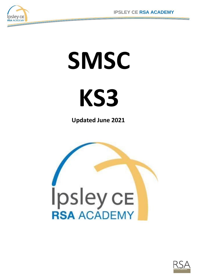

# **SMSC**



**Updated June 2021**



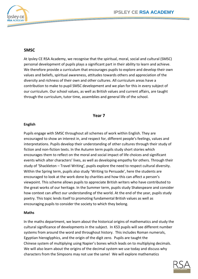

# **SMSC**

At Ipsley CE RSA Academy, we recognise that the spiritual, moral, social and cultural (SMSC) personal development of pupils plays a significant part in their ability to learn and achieve. We therefore provide a curriculum that encourages pupils to explore and develop their own values and beliefs, spiritual awareness, attitudes towards others and appreciation of the diversity and richness of their own and other cultures. All curriculum areas have a contribution to make to pupil SMSC development and we plan for this in every subject of our curriculum. Our school values, as well as British values and current affairs, are taught through the curriculum, tutor time, assemblies and general life of the school.

## **Year 7**

#### **English**

Pupils engage with SMSC throughout all schemes of work within English. They are encouraged to show an interest in, and respect for, different people's feelings, values and interpretations. Pupils develop their understanding of other cultures through their study of fiction and non-fiction texts. In the Autumn term pupils study short stories which encourages them to reflect on the moral and social impact of life choices and significant events which alter characters' lives, as well as developing empathy for others. Through their study of 'Shackleton – Travel Writing', pupils explore the need to respect cultural diversity. Within the Spring term, pupils also study 'Writing to Persuade', here the students are encouraged to look at the work done by charities and how this can affect a person's viewpoint. This scheme allows pupils to appreciate British writers who have contributed to the great works of our heritage. In the Summer term, pupils study Shakespeare and consider how context can affect our understanding of the world. At the end of the year, pupils study poetry. This topic lends itself to promoting fundamental British values as well as encouraging pupils to consider the society to which they belong.

#### **Maths**

In the maths department, we learn about the historical origins of mathematics and study the cultural significance of developments in the subject. In KS3 pupils will see different number systems from around the word and throughout history. This includes Roman numerals, Egyptian hieroglyphics, and the origin of the digit zero. Pupils are taught the Chinese system of multiplying using Napier's bones which leads on to multiplying decimals. We will also learn about the origins of the decimal system we use today and discuss why characters from the Simpsons may not use the same! We will explore mathematics

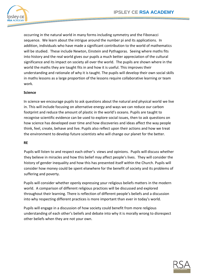

occurring in the natural world in many forms including symmetry and the Fibonacci sequence. We learn about the intrigue around the number pi and its applications. In addition, individuals who have made a significant contribution to the world of mathematics will be studied. These include Newton, Einstein and Pythagoras. Seeing where maths fits into history and the real world gives our pupils a much better appreciation of the cultural significance and its impact on society all over the world. The pupils are shown where in the world the maths they are taught fits in and how it is useful. This improves their understanding and rationale of why it is taught. The pupils will develop their own social skills in maths lessons as a large proportion of the lessons require collaborative learning or team work.

# **Science**

In science we encourage pupils to ask questions about the natural and physical world we live in. This will include focusing on alternative energy and ways we can reduce our carbon footprint and reduce the amount of plastic in the world's oceans. Pupils are taught to recognise scientific evidence can be used to explore social issues, then to ask questions on how science has developed over time and how discoveries and ideas affect the way people think, feel, create, behave and live. Pupils also reflect upon their actions and how we treat the environment to develop future scientists who will change our planet for the better.

#### **RE**

Pupils will listen to and respect each other's views and opinions. Pupils will discuss whether they believe in miracles and how this belief may affect people's lives. They will consider the history of gender inequality and how this has presented itself within the Church. Pupils will consider how money could be spent elsewhere for the benefit of society and its problems of suffering and poverty.

Pupils will consider whether openly expressing your religious beliefs matters in the modern world. A comparison of different religious practices will be discussed and explored throughout their learning. There is reflection of different people's beliefs and a discussion into why respecting different practices is more important than ever in today's world.

Pupils will engage in a discussion of how society could benefit from more religious understanding of each other's beliefs and debate into why it is morally wrong to disrespect other beliefs when they are not your own.

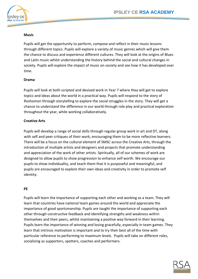

## **Music**

Pupils will get the opportunity to perform, compose and reflect in their music lessons through different topics. Pupils will explore a variety of music genres which will give them the chance to discuss and experience different cultures. They will look at the origins of Blues and Latin music whilst understanding the history behind the social and cultural changes in society. Pupils will explore the impact of music on society and see how it has developed over time.

#### **Drama**

Pupils will look at both scripted and devised work in Year 7 where they will get to explore topics and ideas about the world in a practical way. Pupils will respond to the story of Roshomon through storytelling to explore the social struggles in the story. They will get a chance to understand the difference in our world through role play and practical exploration throughout the year, while working collaboratively.

#### **Creative Arts**

Pupils will develop a range of social skills through regular group work in art and DT, along with self and peer critiques of their work, encouraging them to be more reflective learners. There will be a focus on the cultural element of SMSC across the Creative Arts, through the introduction of multiple artists and designers and projects that promote understanding and appreciation of the work of other artists. Spiritually, all of our schemes of work are designed to allow pupils to show progression to enhance self worth. We encourage our pupils to show individuality, and teach them that it is purposeful and meaningful, and pupils are encouraged to explore their own ideas and creativity in order to promote self identity.

#### **PE**

Pupils will learn the importance of supporting each other and working as a team. They will learn that countries have national team games around the world and appreciate the importance of good sportsmanship. Pupils are taught the importance of supporting each other through constructive feedback and identifying strengths and weakness within themselves and their peers, whilst maintaining a positive way forward in their learning. Pupils learn the importance of winning and losing gracefully, especially in team games. They learn that intrinsic motivation is important and to try their best all of the time with particular reference to performing to maximum levels. Pupils will take on different roles, socialising as supporters, spotters, coaches and performers.

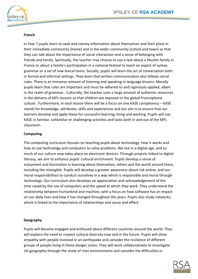

# **French**

In Year 7 pupils learn to seek and convey information about themselves and their place in their immediate community (home) and in the wider community (school and town) so that they can talk about the importance of social interaction and a sense of belonging with friends and family. Spiritually, the teacher may choose to use a text about a Muslim family in France or about a family's participation in a national festival to teach an aspect of syntax, grammar or a set of new lexical items. Socially, pupils will learn the art of conversation both in formal and informal settings. They learn that written communication also follows social rules. There is an immense amount of listening and speaking in language lessons. Morally pupils learn that rules are important and must be adhered to and rigorously applied, albeit in the realm of grammar. Culturally, the teacher uses a large amount of authentic resources in the delivery of MFL lessons so that children are exposed to the global Francophone culture. Furthermore, in each lesson there will be a focus on one KASE competency – KASE stands for knowledge, attributes, skills and experiences and our aim is to ensure that our learners develop and apply these for successful learning, living and working. Pupils will use KASE in familiar, unfamiliar or challenging activities and tasks both in and out of the MFL classroom.

## **Computing**

The computing curriculum focuses on teaching pupils about technology, how it works and how to use technology and computers to solve problems. We live in a digital age, and so much of our culture now takes place on electronic devices. Through projects linked to digital literacy, we aim to enhance pupils' cultural enrichment. Pupils develop a sense of enjoyment and fascination in learning about themselves, others and the world around them, including the intangible. Pupils will develop a greater awareness about risk online, and our moral responsibilities to conduct ourselves in a way which is responsible and moral through technology. Our curriculum also develops an appreciation and acknowledgement of the time saved by the use of computers and the speed at which they work. They understand the relationship between humankind and machine, with a focus on how software has an impact on our daily lives and how it has changed throughout the years. Pupils also study networks, which is linked to the importance of relationships and cause and effect.

## **Geography**

Pupils will become engaged and enthused about different countries around the world. They will explore the need to respect cultural diversity now and in the future. Pupils will show empathy with people involved in an earthquake and consider the resilience of different groups of people living in these danger zones. They will work collaboratively to investigate UK geography through the study of river environments and consider the difficulties in

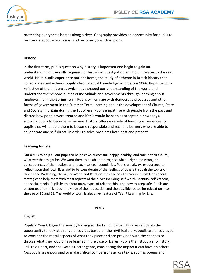protecting everyone's homes along a river. Geography provides an opportunity for pupils to be literate about world issues and become global champions.

## **History**

In the first term, pupils question why history is important and begin to gain an understanding of the skills required for historical investigation and how it relates to the real world. Next, pupils experience ancient Rome, the study of a theme in British history that consolidates and extends pupils' chronological knowledge from before 1066. Pupils become reflective of the influences which have shaped our understanding of the world and understand the responsibilities of individuals and governments through learning about medieval life in the Spring Term. Pupils will engage with democratic processes and other forms of government in the Summer Term, learning about the development of Church, State and Society in Britain during the Tudor era. Pupils empathise with people from the past and discuss how people were treated and if this would be seen as acceptable nowadays, allowing pupils to become self-aware. History offers a variety of learning experiences for pupils that will enable them to become responsible and resilient learners who are able to collaborate and self-direct, in order to solve problems both past and present.

#### **Learning for Life**

Our aim is to help all our pupils to be positive, successful, happy, healthy, and safe in their future, whatever that might be. We want them to be able to recognise what is right and wrong, the consequences of their actions and recognise legal boundaries. Pupils are always encouraged to reflect upon their own lives and to be considerate of the feelings of others through the topics of Health and Wellbeing, the Wider World and Relationships and Sex Education. Pupils learn about strategies to help them with most aspects of their lives including self-worth, identity, self-esteem, and social media. Pupils learn about many types of relationships and how to keep safe. Pupils are encouraged to think about the value of their education and the possible routes for education after the age of 16 and 18. The world of work is also a key feature of Year 7 Learning for Life.

Year 8

## **English**

Pupils in Year 8 begin the year by looking at The Fall of Icarus. This gives students the opportunity to look at a range of sources based on the mythical story, pupils are encouraged to consider the moral aspects of what took place and are provided with the chances to discuss what they would have learned in the case of Icarus. Pupils then study a short story, Tell Tale Heart, and the Gothic Horror genre, considering the impact it can have on others. Next pupils are encouraged to make critical comparisons across texts, such as poems and

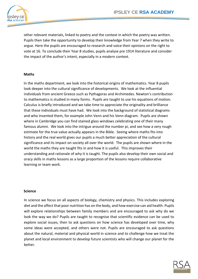

other relevant materials, linked to poetry and the context in which the poetry was written. Pupils then take the opportunity to develop their knowledge from Year 7 when they write to argue. Here the pupils are encouraged to research and voice their opinions on the right to vote at 16. To conclude their Year 8 studies, pupils analyse pre 1914 literature and consider the impact of the author's intent, especially in a modern context.

#### **Maths**

In the maths department, we look into the historical origins of mathematics. Year 8 pupils look deeper into the cultural significance of developments. We look at the influential individuals from ancient Greece such as Pythagoras and Archimedes. Newton's contribution to mathematics is studied in many forms. Pupils are taught to use his equations of motion. Calculus is briefly introduced and we take time to appreciate the originality and brilliance that these individuals must have had. We look into the background of statistical diagrams and who invented them, for example John Venn and his Venn diagram. Pupils are shown where in Cambridge you can find stained glass windows celebrating one of their many famous alumni. We look into the intrigue around the number pi, and see how a very rough estimate for the true value actually appears in the Bible. Seeing where maths fits into history and the real world gives our pupils a much better appreciation of the cultural significance and its impact on society all over the world. The pupils are shown where in the world the maths they are taught fits in and how it is useful. This improves their understanding and rationale of why it is taught. The pupils also develop their own social and oracy skills in maths lessons as a large proportion of the lessons require collaborative learning or team work.

#### **Science**

In science we focus on all aspects of biology, chemistry and physics. This includes exploring diet and the affect that poor nutrition has on the body, and how exercise can aid health. Pupils will explore relationships between family members and are encouraged to ask why do we look the way we do? Pupils are taught to recognise that scientific evidence can be used to explore social issues, then to ask questions on how science has developed over time, why some ideas were accepted, and others were not. Pupils are encouraged to ask questions about the natural, material and physical world in science and to challenge how we treat the planet and local environment to develop future scientists who will change our planet for the better.

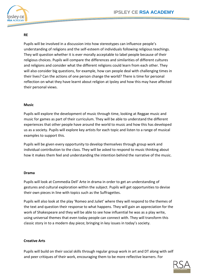

# **RE**

Pupils will be involved in a discussion into how stereotypes can influence people's understanding of religions and the self-esteem of individuals following religious teachings. They will question whether it is ever morally acceptable to label people because of their religious choices. Pupils will compare the differences and similarities of different cultures and religions and consider what the different religions could learn from each other. They will also consider big questions, for example, how can people deal with challenging times in their lives? Can the actions of one person change the world? There is time for personal reflection on what they have learnt about religion at Ipsley and how this may have affected their personal views.

## **Music**

Pupils will explore the development of music through time, looking at Reggae music and music for games as part of their curriculum. They will be able to understand the different experiences that other people have around the world to music and how this has developed us as a society. Pupils will explore key artists for each topic and listen to a range of musical examples to support this.

Pupils will be given every opportunity to develop themselves through group work and individual contribution to the class. They will be asked to respond to music thinking about how it makes them feel and understanding the intention behind the narrative of the music.

#### **Drama**

Pupils will look at Commedia Dell' Arte in drama in order to get an understanding of gestures and cultural exploration within the subject. Pupils will get opportunities to devise their own pieces in line with topics such as the Suffragettes.

Pupils will also look at the play 'Romeo and Juliet' where they will respond to the themes of the text and question their response to what happens. They will gain an appreciation for the work of Shakespeare and they will be able to see how influential he was as a play write, using universal themes that even today people can connect with. They will transform this classic story in to a modern day piece; bringing in key issues in today's society.

## **Creative Arts**

Pupils will build on their social skills through regular group work in art and DT along with self and peer critiques of their work, encouraging them to be more reflective learners. For

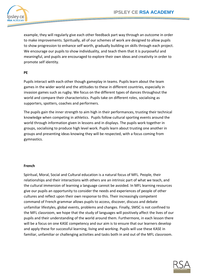

example, they will regularly give each other feedback part way through an outcome in order to make improvements. Spiritually, all of our schemes of work are designed to allow pupils to show progression to enhance self worth, gradually building on skills through each project. We encourage our pupils to show individuality, and teach them that it is purposeful and meaningful, and pupils are encouraged to explore their own ideas and creativity in order to promote self identity.

## **PE**

Pupils interact with each other though gameplay in teams. Pupils learn about the team games in the wider world and the attitudes to these in different countries, especially in invasion games such as rugby. We focus on the different types of dances throughout the world and compare their characteristics. Pupils take on different roles, socialising as supporters, spotters, coaches and performers.

The pupils gain the inner strength to aim high in their performances, trusting their technical knowledge when competing in athletics. Pupils follow cultural sporting events around the world through information given in lessons and in displays. The pupils work together in groups, socialising to produce high level work. Pupils learn about trusting one another in groups and presenting ideas knowing they will be respected, with a focus coming from gymnastics.

#### **French**

Spiritual, Moral, Social and Cultural education is a natural focus of MFL. People, their relationships and their interactions with others are an intrinsic part of what we teach, and the cultural immersion of learning a language cannot be avoided. In MFL learning resources give our pupils an opportunity to consider the needs and experiences of people of other cultures and reflect upon their own response to this. Their increasingly competent command of French grammar allows pupils to access, discover, discuss and debate unfamiliar lifestyles, global events, problems and changes. Finally, SMSC is not confined to the MFL classroom, we hope that the study of languages will positively affect the lives of our pupils and their understanding of the world around them. Furthermore, in each lesson there will be a focus on one KASE competency and our aim is to ensure that our learners develop and apply these for successful learning, living and working. Pupils will use these KASE in familiar, unfamiliar or challenging activities and tasks both in and out of the MFL classroom.

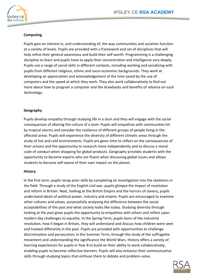

# **Computing**

Pupils gain an interest in, and understanding of, the way communities and societies function at a variety of levels. Pupils are provided with a framework and set of disciplines that will help refine their general awareness and build their self-worth. Programming is a challenging discipline to learn and pupils have to apply their concentration and intelligence very deeply. Pupils use a range of social skills in different contexts, including working and socialising with pupils from different religious, ethnic and socio-economic backgrounds. They work at developing an appreciation and acknowledgement of the time saved by the use of computers and the speed at which they work. They also work collaboratively to find out more about how to program a computer and the drawbacks and benefits of reliance on such technology.

## **Geography**

Pupils develop empathy through studying life in a slum and they will engage with the social consequences of altering the culture of a slum. Pupils will empathise with communities hit by tropical storms and consider the resilience of different groups of people living in the affected areas. Pupils will experience the diversity of different climatic areas through the study of hot and cold environments. Pupils are given time to reflect on the consequences of their actions and the opportunity to research more independently and to discuss a moral code of conduct when shopping for global products. Geography provides students with the opportunity to become experts who are fluent when discussing global issues and allows students to become self-aware of their own impact on the planet.

#### **History**

In the first term, pupils recap prior skills by completing an investigation into the skeletons in the field. Through a study of the English civil war, pupils glimpse the impact of revolution and reform in Britain. Next, looking at the British Empire and the horrors of slavery, pupils understand ideals of political power, industry and empire. Pupils are encouraged to examine other cultures and values, purposefully analysing the difference between the social acceptabilities of the past and what society looks like today. Studying diversity through looking at the past gives pupils the opportunity to empathise with others and reflect upon modern day challenges to equality. In the Spring Term, pupils learn of the industrial revolution, how it began in Britain, they will understand and discuss how children were seen and treated differently in the past. Pupils are provided with opportunities to challenge discrimination and persecution, in the Summer Term, through the study of the suffragette movement and understanding the significance the World Wars. History offers a variety of learning experiences for pupils in Year 8 to build on their ability to work collaboratively, enabling pupils to become reflective learners. Pupils will also enhance their communicative skills through studying topics that enthuse them to debate and problem-solve.